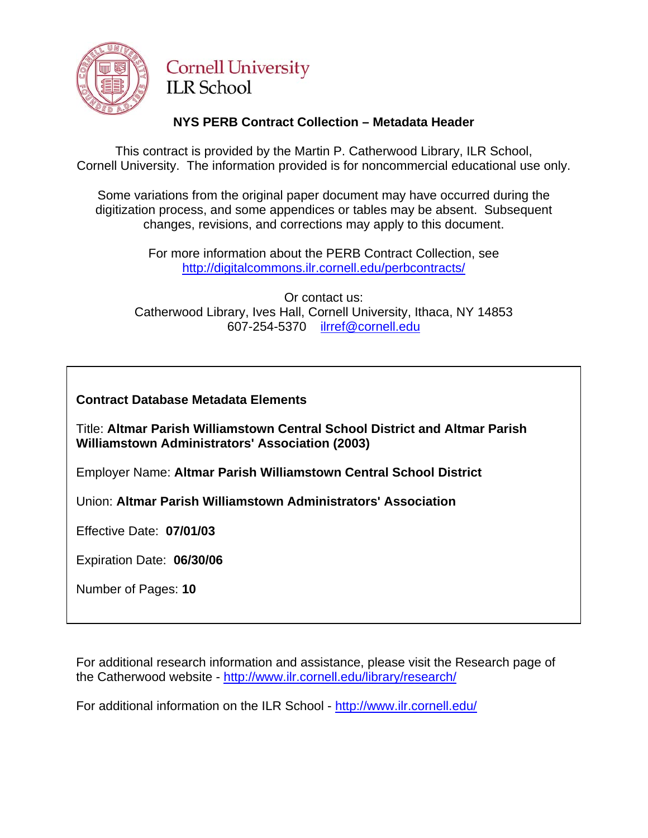

# **Cornell University ILR** School

# **NYS PERB Contract Collection – Metadata Header**

This contract is provided by the Martin P. Catherwood Library, ILR School, Cornell University. The information provided is for noncommercial educational use only.

Some variations from the original paper document may have occurred during the digitization process, and some appendices or tables may be absent. Subsequent changes, revisions, and corrections may apply to this document.

> For more information about the PERB Contract Collection, see http://digitalcommons.ilr.cornell.edu/perbcontracts/

Or contact us: Catherwood Library, Ives Hall, Cornell University, Ithaca, NY 14853 607-254-5370 [ilrref@cornell.edu](mailto:ilrref@cornell.edu)

# **Contract Database Metadata Elements**

Title: **Altmar Parish Williamstown Central School District and Altmar Parish Williamstown Administrators' Association (2003)** 

Employer Name: **Altmar Parish Williamstown Central School District** 

Union: **Altmar Parish Williamstown Administrators' Association** 

Effective Date: **07/01/03**

Expiration Date: **06/30/06**

Number of Pages: **10**

For additional research information and assistance, please visit the Research page of the Catherwood website -<http://www.ilr.cornell.edu/library/research/>

For additional information on the ILR School - <http://www.ilr.cornell.edu/>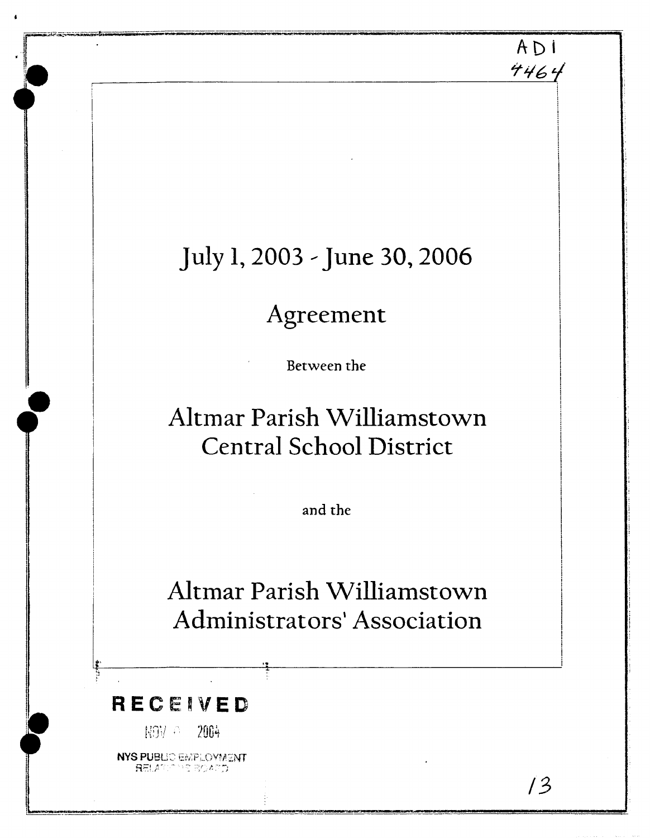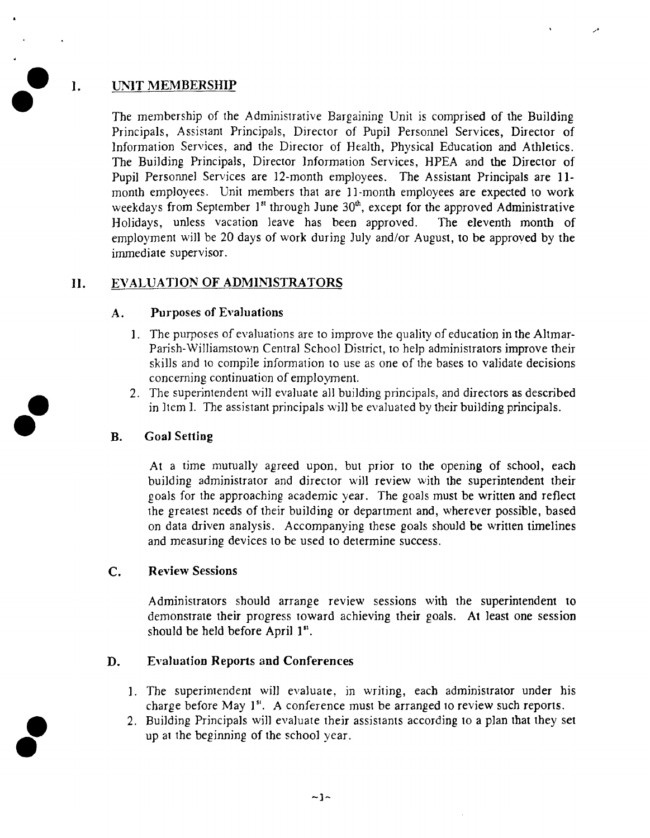# **I. UNIT MEMBERSHIP**

The membership of the Administrative Bargaining Unit is comprised of the Building Principals, Assistant Principals, Director of Pupil Personnel Services, Director of Information Services, and the Director of Health, Physical Education and Athletics. The Building Principals, Director Information Services, HPEA and the Director of Pupil Personnel Services are 12-month employees. The Assistant Principals are **11**  month employees. Unit members that are 11-month employees are expected to work weekdays from September 1<sup>st</sup> through June 30<sup>th</sup>, except for the approved Administrative Holidays, unless vacation leave has been approved. The eleventh month of employment will be 20 days of work during July and/or August, to be approved by the immediate supervisor.

#### EVALUATION OF ADMINISTRATORS II.

### A. Purposes of Evaluations

- I. The purposes of evaluations are to improve the quality of education in the Altmar-Parish-Williamstown Central School Djstrict, to help administrators improve their skills and to compile information to use as one of the bases to validate decisions concerning continuation of employment.
- 2. The superintendent will evaluate all building principals, and directors as described in Item I. The assistant principals will be evaluated by their building principals.

# B. Goal **Setting**

At a time mutually agreed upon, but prior to the opening of school, each building administrator and director will review with the superintendent their goals for the approaching academic year. The goals must be written and reflect the greatest needs of their building or department and, wherever possible, based on data driven analysis. Accompanying these goals should be written timelines and measuring devices to be used to determine success.

# C. Review Sessions

Administrators should arrange review sessions with the superintendent to demonstrate their progress toward achieving their goals. At least one session should be held before April **1".** 

# **D.** Evaluation Reports and Conferences

- I. The superintendent will evaluate, in writing, each administrator under his charge before May I". A conference must be arranged ro review such reports.
- 2. Building Principals will evaluate their assistants according to a plan that they set up at the beginning of the school year.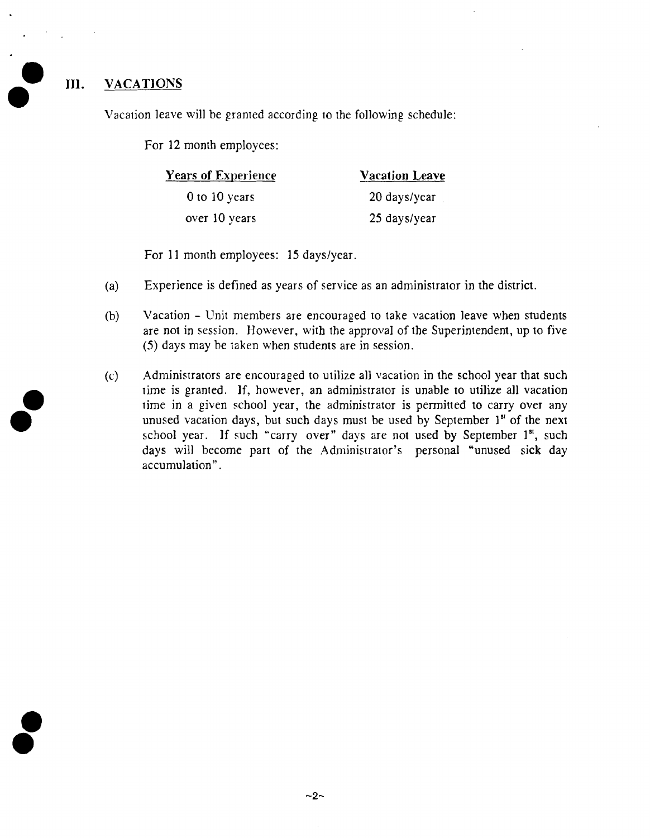### **111.** VACATIONS

Vacation leave will be granted according to the following schedule:

For 12 month employees:

| <b>Years of Experience</b> | <b>Vacation Leave</b> |
|----------------------------|-----------------------|
| 0 to 10 years              | 20 days/year          |
| over 10 years              | 25 days/year          |

For 11 month employees: 15 days/year.

- (a) Experience is defined as years of service as an administrator in the district.
- (b) Vacation Unit members are encouraged ro take vacation leave when students are not in session. However, with the approval of the Superintendent, up to five (5) days may be taken when students are jn session.
- (c) Administrators are encouraged to utilize all vacation in the school year that such rime is granred. If, however, an administraror is unable to utilize all vacation rime in a given school year, the administrator is permitted to carry over any unused vacation days, but such days must be used by September 1st of the next school year. If such "carry over" days are not used by September 1<sup>st</sup>, such days will become part of the Adminisrrator's personal "unused sick day accumulation".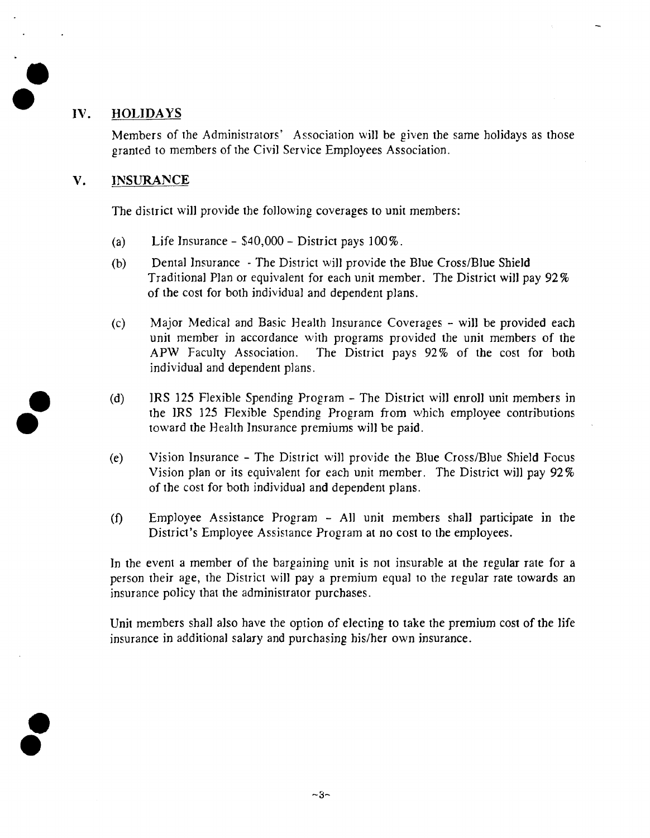#### **HOLIDAYS** IV.

Members of the Adminisrrarors' Associarion will be given the same holidays as those granted to members of the Civil Service Employees Association.

#### **V. INSURANCE**

The district will provide the following coverages to unit members:

- $(a)$ Life lnsurance - **\$40,000** - District pays **100%.**
- $(b)$ Dental lnsurance - The District will provide the Blue Cross/Blue Shield Traditional Plan or equivalent for each unit member. The District will pay **92%**  of the cost for both individual and dependent plans.
- $(c)$ Major Medical and Basic Health Insurance Coverages - will be provided each unit member in accordance with programs provided the unit members of the APW Faculty Association. The District pays 92% of the cost for both individual and dependent plans.
- $(d)$ IRS **125** Flexible Spending Program - The District will enroll unit members in the IRS **125** Flexible Spending Program from which employee contributions toward the Health lnsurance premiums will be paid.
- $(e)$ Vision lnsurance - The District will provide the Blue Cross/Blue Shield Focus Vision plan or its equivalent for each unit member. The District will pay **92%**  of the cost for both individual and dependent plans.
- $(f)$ Employee Assistance Program - All unit members shall participate in the District's Employee Assistance Program at no cost to the employees.

In the event a member of the bargaining unit is not insurable at the regular rate for a person their age, the District will pay a premium equal to the regular rate towards an insurance policy that the administrator purchases.

Unit members shall also have the option of electing to take the premium cost of the life insurance in additional salary and purchasing his/her own insurance.

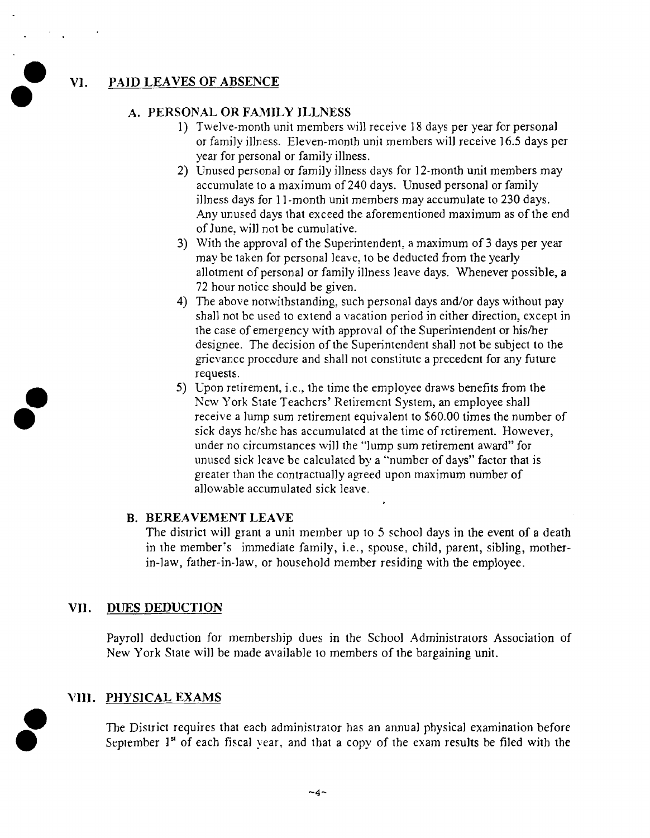#### V1. PAID LEAVES OF ABSENCE

#### A. PERSONAL OR FAMILY ILLNESS

- 1) Twelve-month unit members will receive 18 days per year for personal or family illness. Eleven-month unit members will receive 16.5 days per year for personal or family illness.
- 2) Unused personal or family illness days for 12-month unit members may accumulate to a maximum of 240 days. Unused personal or family illness days for I1 -month unit members may accumulate to 230 days. Any unused days that exceed the aforementioned maximum as of the end of June, will not be cumulative.
- 3) With the approval of the Superintendent, a maximum of 3 days per year may be taken for personal leave, to be deducted fiom the yearly allotment of personal or family illness leave days. Whenever possible, a 72 hour notice should be given.
- 4) The above notwithstanding, such personal days and/or days without pay shall not be used to extend a vacation period in either direction, except in the case of emergency with approval of the Superintendent or his/her designee. The decision of the Superintendent shall not be subject to the grievance procedure and shall not constitute a precedent for any future requests.
- 5) Upon retirement, i.e., the time the employee draws benefits fiom the New York State Teachers' Retirement System, an employee shall receive a lump sum retirement equivalent to \$60.00 times the number of sick days he/she has accumulated at the time of retirement. However, under no circumstances will the "lump sum retirement award" for unused sick leave be calculated by a "number of days" factor that is greater than the contractually agreed upon maximum number of allowable accumulated sick leave.

#### B. BEREAVEMENT LEAVE

The district will grant a unit member up to 5 school days in the event of a death in the member's immediate family, i.e., spouse, child, parent, sibling, motherin-law, father-in-law, or household member residing with the employee.

#### VI1. DUES DEDUCTION

Payroll deduction for membership dues in the School Administrators Association of New York State will be made available to members of the bargaining unit.

#### VIII. PHYSICAL EXAMS

**f** The District requires that each administrator has an annual physical examination before September 1<sup>st</sup> of each fiscal year, and that a copy of the exam results be filed with the

 $-4-$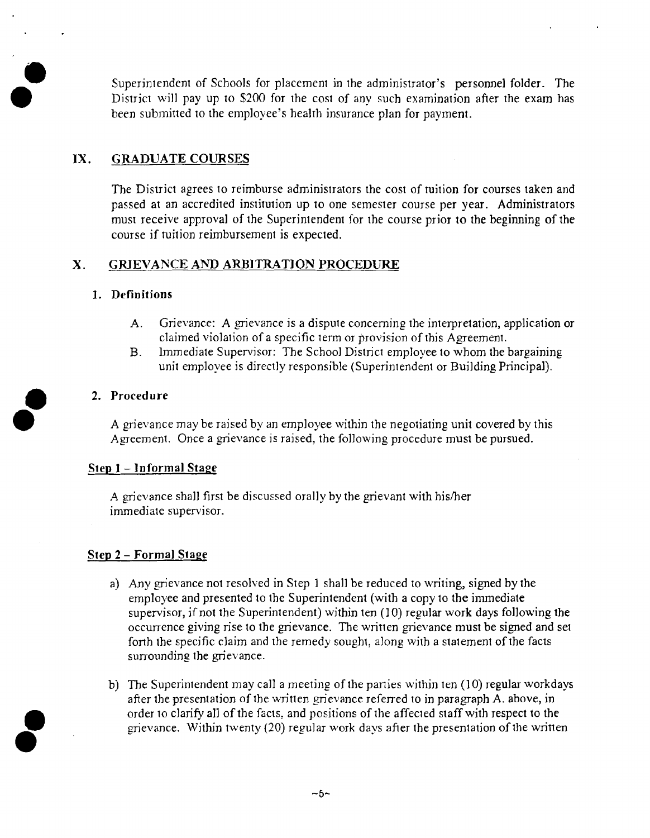Superintendent of Schools for placement in the administrator's personnel folder. The District will pay up to *\$200* for the cost of any such examination afier the exam has been submitted to the employee's health insurance plan for payment.

# **IX. GRADUATE COURSES**

The District agrees to reimburse administrators the cost of tuition for courses taken and passed at an accredited institution up to one semester course per year. Administrators must receive approval of the Superintendent for the course prior to the beginning of the course if tuition reimbursement is expected.

#### $\mathbf{X}$ . **GRIEVANCE AND ARBITRATION PROCEDURE**

#### **1. Definitions**

- A. Grievance: A grievance is a dispute concerning the interpretation, application or claimed violation of a specific term or provision of this Agreement.
- B. Immediate Supervisor: The School District employee to whom the bargaining unit employee is directly responsible (Superintendent or Building Principal).

#### **2. Procedure**

A grievance may be raised by an employee within the negotiating unit covered by this Agreement. Once a grievance is raised, the following procedure must be pursued.

#### **Step I -Informal Stage**

A grievance shall first be discussed orally by the grievant with his/her immediate supervisor.

#### **Step 2** - **Formal Stage**

- a) Any grievance not resolved in Step 1 shall be reduced to writing, signed by the employee and presented to the Superintendent (with a copy to the immediate supervisor, if not the Superintendent) within ten **(3** 0) regular work days following the occurrence giving rise to the grievance. The written grievance must be signed and set forth the specific claim and the remedy sought, along with a statement of the facts surrounding the grievance.
- b) The Superintendent may call a meeting of the parties within ten (10) regular workdays after the presentation of the written grievance referred to in paragraph A. above, in after the presentation of the written grievance referred to in paragraph A. above, in<br>order to clarify all of the facts, and positions of the affected staff with respect to the<br>grievance. Within twenty (20) regular work da grievance. Within twenty (20) regular work days after the presentation of the written<br> **0 1 a 1 a 1 a 1 a 1 a 1 a 1 a 1 a 1 a 1 a 1 a 1 a 1 a 1 a 1 a 1 a 1**

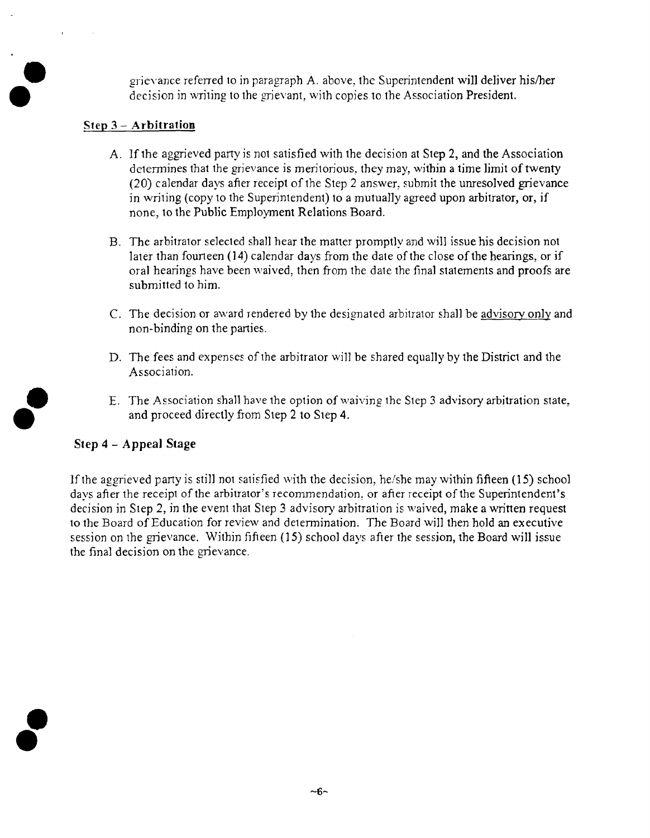grievance referred to in paragraph A. above, the Superintendent will deliver his/her decision in writing to the grievant, with copies to the Association President.

#### **Step 3** - **Arbitration**

- A. If the aggrieved party is not satisfied with the decision at Step 2, and the Association determines that the grievance is meritorious, they may, within a time limit of twenty (20) calendar days afier receipt of the Step 2 answer, submit the unresolved gievance in writing (copy to the Superintendent) to a mutually agreed upon arbitrator, or, if none, to the Public Employment Relations Board.
- B. The arbitrator selected shall hear the matter promptly and will issue his decision not later than fourteen (14) calendar days from the date of the close of the hearings, or if oral hearings have been waived, then from the date the final statements and proofs are submitted to him.
- C. The decision or award rendered by the desipated arbitrator shall be advisory only and non-binding on the parties.
- D. The fees and expenses of the arbitrator will be shared equally by the District and the Association.
- E. The Association shall have the option of waiving the Step 3 advisory arbitration state, and proceed directly from Step 2 to Step 4.

#### **Step 4** - **Appeal Stage**

If the aggrieved party is still not satisfied with the decision, he/she may within fifteen (15) school days afier the receipt of the arbitrator's recommendation, or afier receipt of the Superintendent's decision in Step 2, in the event that Step 3 advisory arbitration is waived, make a written request to the Board of Education for review and determination. The Board will then hold an executive session on the grievance. Within fifieen (15) school days afier the session, the Board will issue the final decision on the grievance.

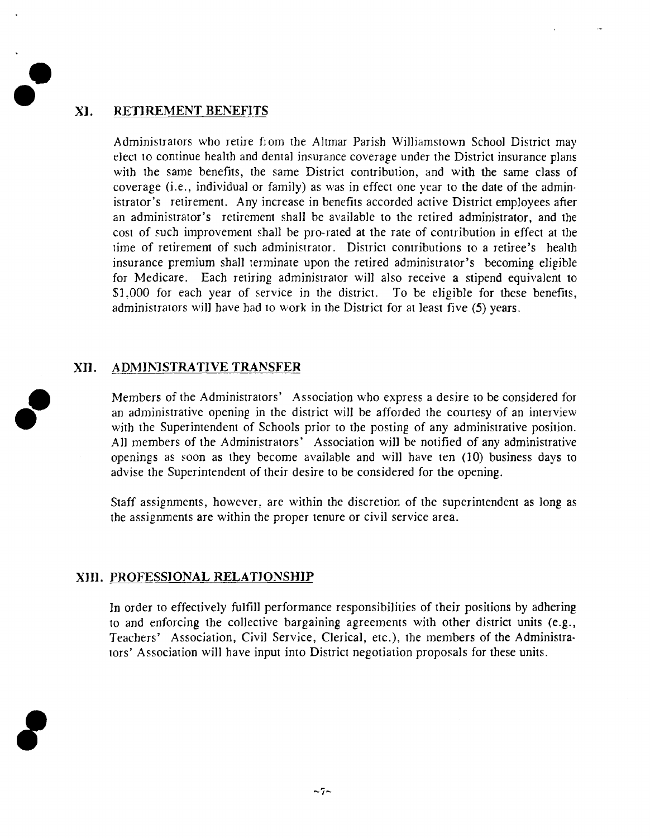#### **a- XI. RETIREMENT BENEFITS**

Administrators who retire from the Altmar Parish Williamstown School District may elect to continue health and dental insurance coverage under the District insurance plans with the same benefits, the same District contribution, and with the same class of coverage (i.e., individual or family) as was in effect one year to the date of the administrator's retirement. Any increase in benefits accorded active District employees afier an administrator's retirement shall be available to the retired administrator, and the cost of such improvement shall be pro-rated at the rate of contribution in effect at the time of retirement of such administrator. District contributions to a retiree's health insurance premium shall terminate upon the retired administrator's becoming eligible for Medicare. Each retiring administrator will also receive a stipend equivalent to \$1,000 for each year of service in the district. To be eligible for these benefits, administrators will have had to work in the District for at least five (5) years.

### **XI]. ADMIMSTRATIVE TRANSFER**

Members of the Administrarors' Association who express a desire to be considered for an administrative opening in the district will be afforded the courtesy of an interview with the Superintendent of Schools prior to the posting of any administrative position. All members of the Administrators' Association will be notified of any administrative openings as soon as they become available and will have ren (10) business days to advise the Superintendent of their desire to be considered for the opening.

Staff assignments, however, are within the discretion of the superintendent as long as the assignments are within the proper tenure or civil service area.

#### **XIII. PROFESSIONAL RELATIONSHIP**

In order to effectively fulfill performance responsibilities of their positions by adhering to and enforcing the collective bargaining agreements with other district units (e.g., Teachers' Association, Civil Service, Clerical, etc.), the members of the Admjnistrarors' Association will have input into District negotiation proposals for these units.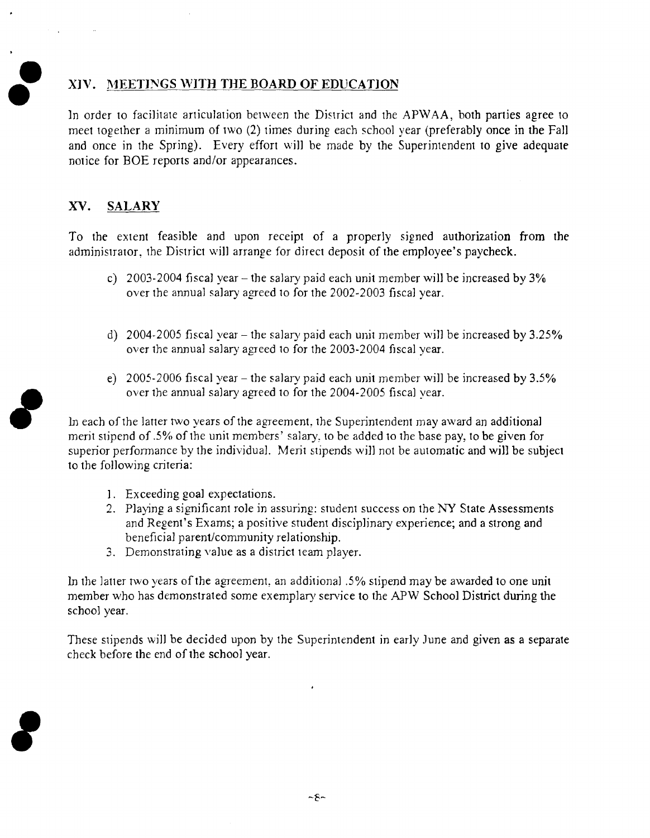#### **XIV. MEETJNGS WITH THE BOARD OF EDUCATION a**

In order to facilitate articulation between the District and the APWAA, both parties agree to meet together a minimum of IWO (2) times during each school year (preferably once in the Fall and once in the Spring). Every effort will be made by the Superintendent to give adequate notice for BOE reports and/or appearances.

### **XV. SALARY**

To the extent feasible and upon receipt of a properly signed authorization from the administrator, the District will arrange for direct deposit of the employee's paycheck.

- c) 2003-2004 fiscal year the salary paid each unit member will be increased by  $3\%$ over the annual salary agreed to for the 2002-2003 fiscal year.
- d) 2004-2005 fiscal year the salary paid each unit member will be increased by  $3.25\%$ over the annual salary agreed to for the 2003-2004 fiscal year.
- e) 2005-2006 fiscal year the salary paid each unit member will be increased by 3.5% over the annual salary agreed to for the 2004-2005 fiscal year.

In each of the latter two years of the agreement, the Superintendent may award an additional merit stipend of .5% of the unit members' salary, to be added to the base pay, to be given for superior performance by the individual. Merit stipends will not be automatic and will be subject to the following criteria:

- I. Exceeding goal expectations.
- 2. Playing a significant role in assuring: student success on the NY State Assessments and Regent's Exams; a positive student disciplinary experience; and a strong and beneficial parent/community relationship.
- 3. Demonstrating value as a district team player.

In the latter two years of the agreement, an additional .5% stipend may be awarded to one unit member who has demonstrated some exemplary service to the APW School District during the school year.

These stipends will be decided upon by the Superintendent in early June and given as a separate check before the end of the school year.